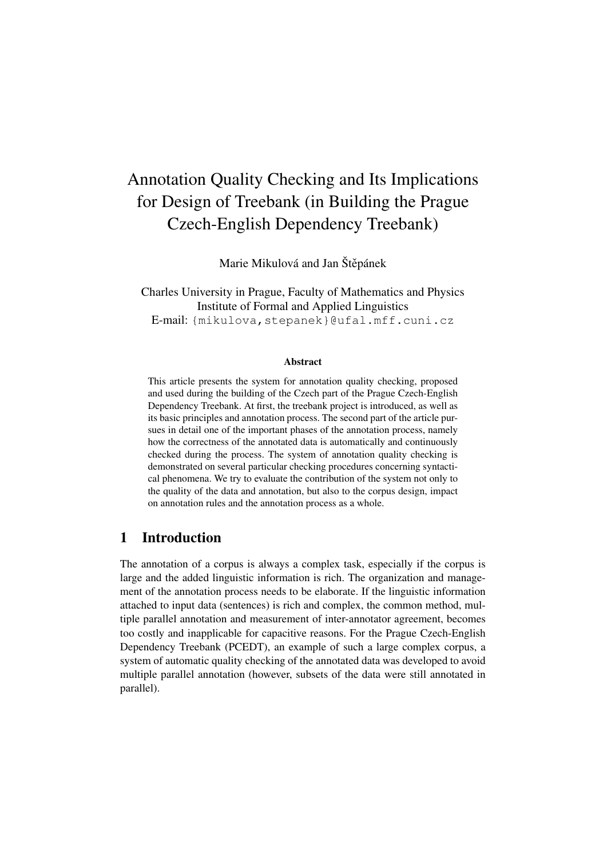# Annotation Quality Checking and Its Implications for Design of Treebank (in Building the Prague Czech-English Dependency Treebank)

Marie Mikulová and Jan Štěpánek

Charles University in Prague, Faculty of Mathematics and Physics Institute of Formal and Applied Linguistics E-mail: {mikulova,stepanek}@ufal.mff.cuni.cz

#### Abstract

This article presents the system for annotation quality checking, proposed and used during the building of the Czech part of the Prague Czech-English Dependency Treebank. At first, the treebank project is introduced, as well as its basic principles and annotation process. The second part of the article pursues in detail one of the important phases of the annotation process, namely how the correctness of the annotated data is automatically and continuously checked during the process. The system of annotation quality checking is demonstrated on several particular checking procedures concerning syntactical phenomena. We try to evaluate the contribution of the system not only to the quality of the data and annotation, but also to the corpus design, impact on annotation rules and the annotation process as a whole.

# 1 Introduction

The annotation of a corpus is always a complex task, especially if the corpus is large and the added linguistic information is rich. The organization and management of the annotation process needs to be elaborate. If the linguistic information attached to input data (sentences) is rich and complex, the common method, multiple parallel annotation and measurement of inter-annotator agreement, becomes too costly and inapplicable for capacitive reasons. For the Prague Czech-English Dependency Treebank (PCEDT), an example of such a large complex corpus, a system of automatic quality checking of the annotated data was developed to avoid multiple parallel annotation (however, subsets of the data were still annotated in parallel).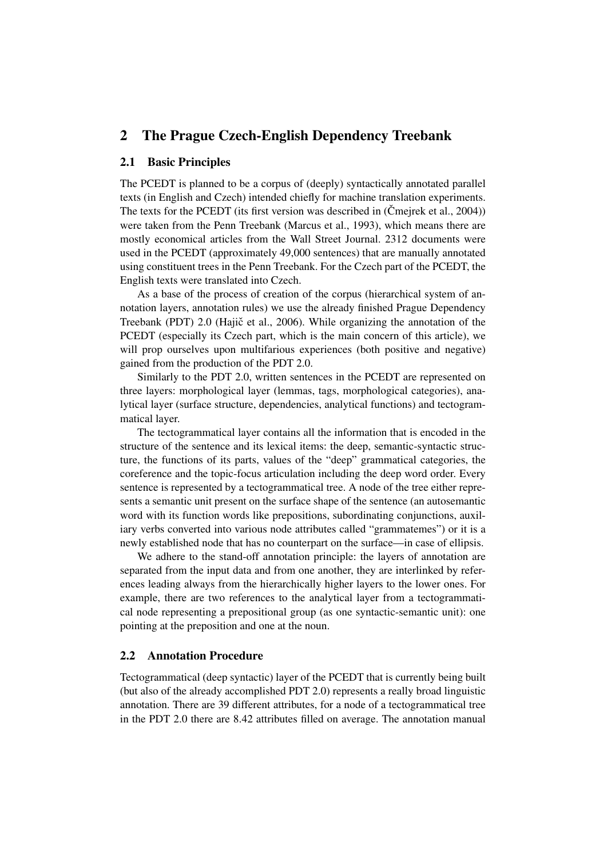# 2 The Prague Czech-English Dependency Treebank

#### <span id="page-1-0"></span>2.1 Basic Principles

The PCEDT is planned to be a corpus of (deeply) syntactically annotated parallel texts (in English and Czech) intended chiefly for machine translation experiments. The texts for the PCEDT (its first version was described in  $(Čmeirek et al., 2004)$  $(Čmeirek et al., 2004)$ ) were taken from the Penn Treebank [\(Marcus et al.,](#page-10-1) [1993\)](#page-10-1), which means there are mostly economical articles from the Wall Street Journal. 2312 documents were used in the PCEDT (approximately 49,000 sentences) that are manually annotated using constituent trees in the Penn Treebank. For the Czech part of the PCEDT, the English texts were translated into Czech.

As a base of the process of creation of the corpus (hierarchical system of annotation layers, annotation rules) we use the already finished Prague Dependency Treebank (PDT) 2.0 (Hajič et al., [2006\)](#page-10-2). While organizing the annotation of the PCEDT (especially its Czech part, which is the main concern of this article), we will prop ourselves upon multifarious experiences (both positive and negative) gained from the production of the PDT 2.0.

Similarly to the PDT 2.0, written sentences in the PCEDT are represented on three layers: morphological layer (lemmas, tags, morphological categories), analytical layer (surface structure, dependencies, analytical functions) and tectogrammatical layer.

The tectogrammatical layer contains all the information that is encoded in the structure of the sentence and its lexical items: the deep, semantic-syntactic structure, the functions of its parts, values of the "deep" grammatical categories, the coreference and the topic-focus articulation including the deep word order. Every sentence is represented by a tectogrammatical tree. A node of the tree either represents a semantic unit present on the surface shape of the sentence (an autosemantic word with its function words like prepositions, subordinating conjunctions, auxiliary verbs converted into various node attributes called "grammatemes") or it is a newly established node that has no counterpart on the surface—in case of ellipsis.

We adhere to the stand-off annotation principle: the layers of annotation are separated from the input data and from one another, they are interlinked by references leading always from the hierarchically higher layers to the lower ones. For example, there are two references to the analytical layer from a tectogrammatical node representing a prepositional group (as one syntactic-semantic unit): one pointing at the preposition and one at the noun.

#### <span id="page-1-1"></span>2.2 Annotation Procedure

Tectogrammatical (deep syntactic) layer of the PCEDT that is currently being built (but also of the already accomplished PDT 2.0) represents a really broad linguistic annotation. There are 39 different attributes, for a node of a tectogrammatical tree in the PDT 2.0 there are 8.42 attributes filled on average. The annotation manual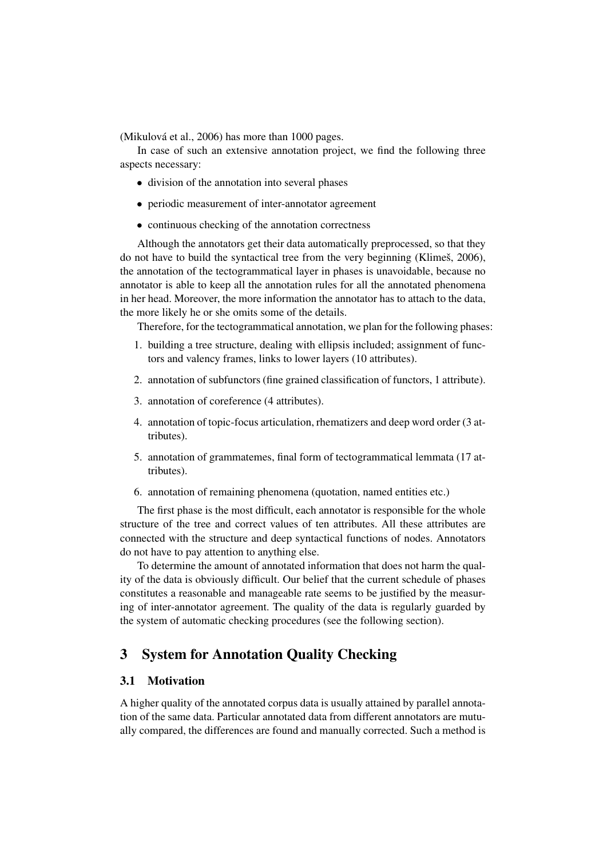[\(Mikulová et al.,](#page-10-3) [2006\)](#page-10-3) has more than 1000 pages.

In case of such an extensive annotation project, we find the following three aspects necessary:

- division of the annotation into several phases
- periodic measurement of inter-annotator agreement
- continuous checking of the annotation correctness

Although the annotators get their data automatically preprocessed, so that they do not have to build the syntactical tree from the very beginning [\(Klimeš,](#page-10-4) [2006\)](#page-10-4), the annotation of the tectogrammatical layer in phases is unavoidable, because no annotator is able to keep all the annotation rules for all the annotated phenomena in her head. Moreover, the more information the annotator has to attach to the data, the more likely he or she omits some of the details.

Therefore, for the tectogrammatical annotation, we plan for the following phases:

- 1. building a tree structure, dealing with ellipsis included; assignment of functors and valency frames, links to lower layers (10 attributes).
- 2. annotation of subfunctors (fine grained classification of functors, 1 attribute).
- 3. annotation of coreference (4 attributes).
- 4. annotation of topic-focus articulation, rhematizers and deep word order (3 attributes).
- 5. annotation of grammatemes, final form of tectogrammatical lemmata (17 attributes).
- 6. annotation of remaining phenomena (quotation, named entities etc.)

The first phase is the most difficult, each annotator is responsible for the whole structure of the tree and correct values of ten attributes. All these attributes are connected with the structure and deep syntactical functions of nodes. Annotators do not have to pay attention to anything else.

To determine the amount of annotated information that does not harm the quality of the data is obviously difficult. Our belief that the current schedule of phases constitutes a reasonable and manageable rate seems to be justified by the measuring of inter-annotator agreement. The quality of the data is regularly guarded by the system of automatic checking procedures (see the following section).

# 3 System for Annotation Quality Checking

#### <span id="page-2-0"></span>3.1 Motivation

A higher quality of the annotated corpus data is usually attained by parallel annotation of the same data. Particular annotated data from different annotators are mutually compared, the differences are found and manually corrected. Such a method is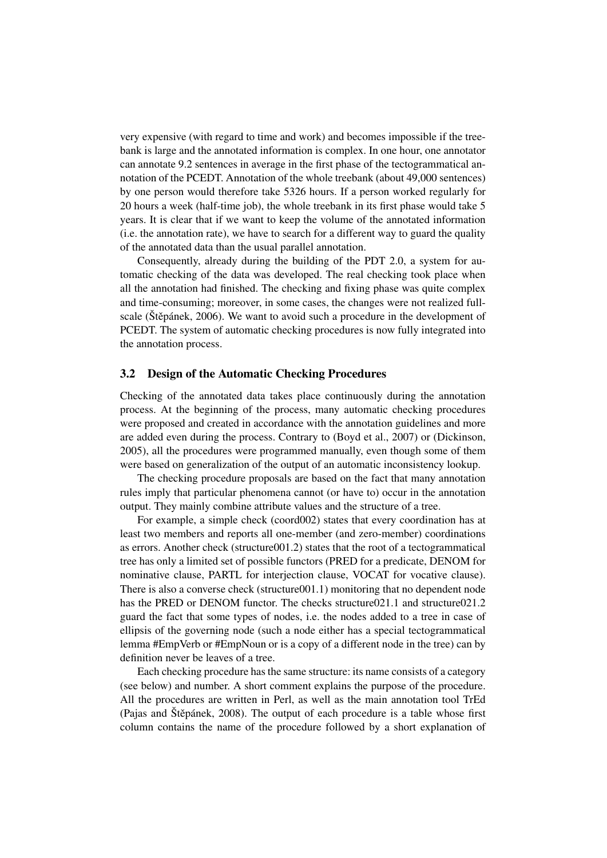very expensive (with regard to time and work) and becomes impossible if the treebank is large and the annotated information is complex. In one hour, one annotator can annotate 9.2 sentences in average in the first phase of the tectogrammatical annotation of the PCEDT. Annotation of the whole treebank (about 49,000 sentences) by one person would therefore take 5326 hours. If a person worked regularly for 20 hours a week (half-time job), the whole treebank in its first phase would take 5 years. It is clear that if we want to keep the volume of the annotated information (i.e. the annotation rate), we have to search for a different way to guard the quality of the annotated data than the usual parallel annotation.

Consequently, already during the building of the PDT 2.0, a system for automatic checking of the data was developed. The real checking took place when all the annotation had finished. The checking and fixing phase was quite complex and time-consuming; moreover, in some cases, the changes were not realized full-scale (Štěpánek, [2006\)](#page-10-5). We want to avoid such a procedure in the development of PCEDT. The system of automatic checking procedures is now fully integrated into the annotation process.

#### <span id="page-3-0"></span>3.2 Design of the Automatic Checking Procedures

Checking of the annotated data takes place continuously during the annotation process. At the beginning of the process, many automatic checking procedures were proposed and created in accordance with the annotation guidelines and more are added even during the process. Contrary to [\(Boyd et al.,](#page-10-6) [2007\)](#page-10-6) or [\(Dickinson,](#page-10-7) [2005\)](#page-10-7), all the procedures were programmed manually, even though some of them were based on generalization of the output of an automatic inconsistency lookup.

The checking procedure proposals are based on the fact that many annotation rules imply that particular phenomena cannot (or have to) occur in the annotation output. They mainly combine attribute values and the structure of a tree.

For example, a simple check (coord002) states that every coordination has at least two members and reports all one-member (and zero-member) coordinations as errors. Another check (structure001.2) states that the root of a tectogrammatical tree has only a limited set of possible functors (PRED for a predicate, DENOM for nominative clause, PARTL for interjection clause, VOCAT for vocative clause). There is also a converse check (structure001.1) monitoring that no dependent node has the PRED or DENOM functor. The checks structure021.1 and structure021.2 guard the fact that some types of nodes, i.e. the nodes added to a tree in case of ellipsis of the governing node (such a node either has a special tectogrammatical lemma #EmpVerb or #EmpNoun or is a copy of a different node in the tree) can by definition never be leaves of a tree.

Each checking procedure has the same structure: its name consists of a category (see below) and number. A short comment explains the purpose of the procedure. All the procedures are written in Perl, as well as the main annotation tool TrEd  $(Pajas and Štěpánek, 2008)$  $(Pajas and Štěpánek, 2008)$ . The output of each procedure is a table whose first column contains the name of the procedure followed by a short explanation of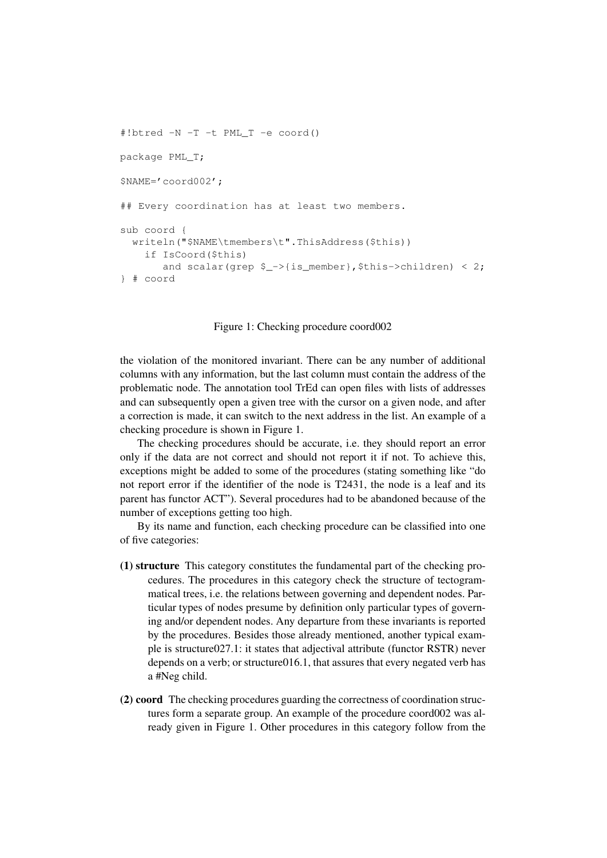```
#!btred -N -T -t PML_T -e coord()
package PML_T;
$NAME='coord002';
## Every coordination has at least two members.
sub coord {
  writeln("$NAME\tmembers\t".ThisAddress($this))
    if IsCoord($this)
       and scalar(grep $->{is_member}, $this->children) < 2;
} # coord
```
<span id="page-4-0"></span>Figure 1: Checking procedure coord002

the violation of the monitored invariant. There can be any number of additional columns with any information, but the last column must contain the address of the problematic node. The annotation tool TrEd can open files with lists of addresses and can subsequently open a given tree with the cursor on a given node, and after a correction is made, it can switch to the next address in the list. An example of a checking procedure is shown in Figure [1.](#page-4-0)

The checking procedures should be accurate, i.e. they should report an error only if the data are not correct and should not report it if not. To achieve this, exceptions might be added to some of the procedures (stating something like "do not report error if the identifier of the node is T2431, the node is a leaf and its parent has functor ACT"). Several procedures had to be abandoned because of the number of exceptions getting too high.

By its name and function, each checking procedure can be classified into one of five categories:

- (1) structure This category constitutes the fundamental part of the checking procedures. The procedures in this category check the structure of tectogrammatical trees, i.e. the relations between governing and dependent nodes. Particular types of nodes presume by definition only particular types of governing and/or dependent nodes. Any departure from these invariants is reported by the procedures. Besides those already mentioned, another typical example is structure027.1: it states that adjectival attribute (functor RSTR) never depends on a verb; or structure016.1, that assures that every negated verb has a #Neg child.
- (2) coord The checking procedures guarding the correctness of coordination structures form a separate group. An example of the procedure coord002 was already given in Figure [1.](#page-4-0) Other procedures in this category follow from the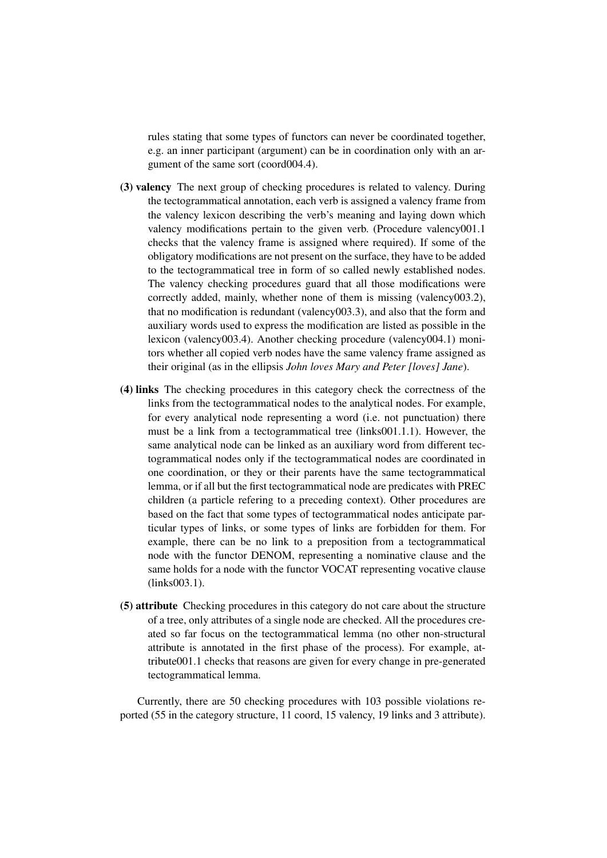rules stating that some types of functors can never be coordinated together, e.g. an inner participant (argument) can be in coordination only with an argument of the same sort (coord004.4).

- (3) valency The next group of checking procedures is related to valency. During the tectogrammatical annotation, each verb is assigned a valency frame from the valency lexicon describing the verb's meaning and laying down which valency modifications pertain to the given verb. (Procedure valency001.1 checks that the valency frame is assigned where required). If some of the obligatory modifications are not present on the surface, they have to be added to the tectogrammatical tree in form of so called newly established nodes. The valency checking procedures guard that all those modifications were correctly added, mainly, whether none of them is missing (valency003.2), that no modification is redundant (valency003.3), and also that the form and auxiliary words used to express the modification are listed as possible in the lexicon (valency003.4). Another checking procedure (valency004.1) monitors whether all copied verb nodes have the same valency frame assigned as their original (as in the ellipsis *John loves Mary and Peter [loves] Jane*).
- (4) links The checking procedures in this category check the correctness of the links from the tectogrammatical nodes to the analytical nodes. For example, for every analytical node representing a word (i.e. not punctuation) there must be a link from a tectogrammatical tree (links001.1.1). However, the same analytical node can be linked as an auxiliary word from different tectogrammatical nodes only if the tectogrammatical nodes are coordinated in one coordination, or they or their parents have the same tectogrammatical lemma, or if all but the first tectogrammatical node are predicates with PREC children (a particle refering to a preceding context). Other procedures are based on the fact that some types of tectogrammatical nodes anticipate particular types of links, or some types of links are forbidden for them. For example, there can be no link to a preposition from a tectogrammatical node with the functor DENOM, representing a nominative clause and the same holds for a node with the functor VOCAT representing vocative clause (links003.1).
- (5) attribute Checking procedures in this category do not care about the structure of a tree, only attributes of a single node are checked. All the procedures created so far focus on the tectogrammatical lemma (no other non-structural attribute is annotated in the first phase of the process). For example, attribute001.1 checks that reasons are given for every change in pre-generated tectogrammatical lemma.

Currently, there are 50 checking procedures with 103 possible violations reported (55 in the category structure, 11 coord, 15 valency, 19 links and 3 attribute).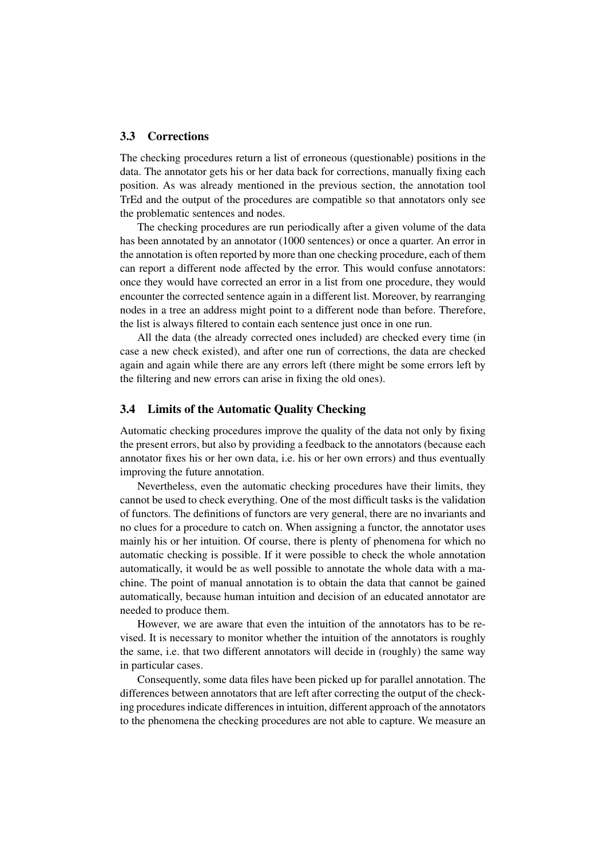#### 3.3 Corrections

The checking procedures return a list of erroneous (questionable) positions in the data. The annotator gets his or her data back for corrections, manually fixing each position. As was already mentioned in the previous section, the annotation tool TrEd and the output of the procedures are compatible so that annotators only see the problematic sentences and nodes.

The checking procedures are run periodically after a given volume of the data has been annotated by an annotator (1000 sentences) or once a quarter. An error in the annotation is often reported by more than one checking procedure, each of them can report a different node affected by the error. This would confuse annotators: once they would have corrected an error in a list from one procedure, they would encounter the corrected sentence again in a different list. Moreover, by rearranging nodes in a tree an address might point to a different node than before. Therefore, the list is always filtered to contain each sentence just once in one run.

All the data (the already corrected ones included) are checked every time (in case a new check existed), and after one run of corrections, the data are checked again and again while there are any errors left (there might be some errors left by the filtering and new errors can arise in fixing the old ones).

#### 3.4 Limits of the Automatic Quality Checking

Automatic checking procedures improve the quality of the data not only by fixing the present errors, but also by providing a feedback to the annotators (because each annotator fixes his or her own data, i.e. his or her own errors) and thus eventually improving the future annotation.

Nevertheless, even the automatic checking procedures have their limits, they cannot be used to check everything. One of the most difficult tasks is the validation of functors. The definitions of functors are very general, there are no invariants and no clues for a procedure to catch on. When assigning a functor, the annotator uses mainly his or her intuition. Of course, there is plenty of phenomena for which no automatic checking is possible. If it were possible to check the whole annotation automatically, it would be as well possible to annotate the whole data with a machine. The point of manual annotation is to obtain the data that cannot be gained automatically, because human intuition and decision of an educated annotator are needed to produce them.

However, we are aware that even the intuition of the annotators has to be revised. It is necessary to monitor whether the intuition of the annotators is roughly the same, i.e. that two different annotators will decide in (roughly) the same way in particular cases.

Consequently, some data files have been picked up for parallel annotation. The differences between annotators that are left after correcting the output of the checking procedures indicate differences in intuition, different approach of the annotators to the phenomena the checking procedures are not able to capture. We measure an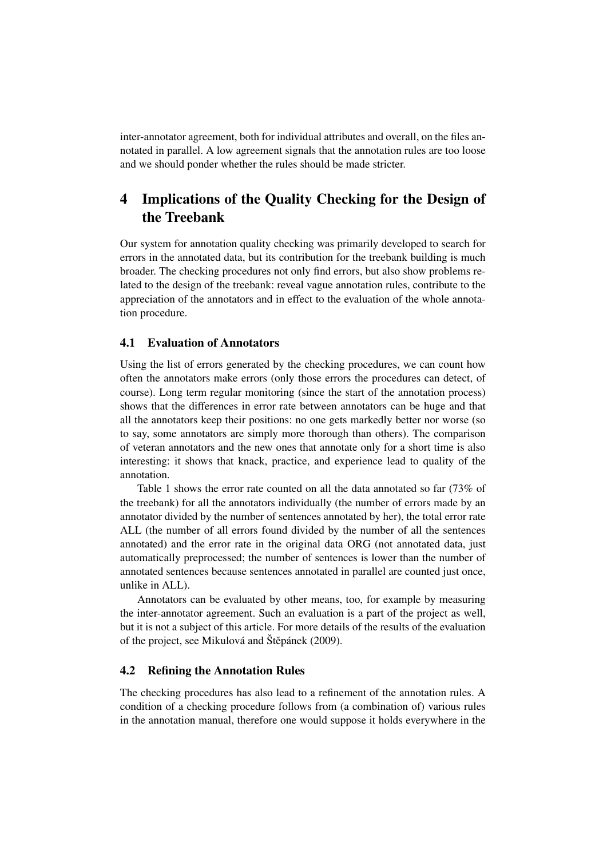inter-annotator agreement, both for individual attributes and overall, on the files annotated in parallel. A low agreement signals that the annotation rules are too loose and we should ponder whether the rules should be made stricter.

# 4 Implications of the Quality Checking for the Design of the Treebank

Our system for annotation quality checking was primarily developed to search for errors in the annotated data, but its contribution for the treebank building is much broader. The checking procedures not only find errors, but also show problems related to the design of the treebank: reveal vague annotation rules, contribute to the appreciation of the annotators and in effect to the evaluation of the whole annotation procedure.

#### <span id="page-7-0"></span>4.1 Evaluation of Annotators

Using the list of errors generated by the checking procedures, we can count how often the annotators make errors (only those errors the procedures can detect, of course). Long term regular monitoring (since the start of the annotation process) shows that the differences in error rate between annotators can be huge and that all the annotators keep their positions: no one gets markedly better nor worse (so to say, some annotators are simply more thorough than others). The comparison of veteran annotators and the new ones that annotate only for a short time is also interesting: it shows that knack, practice, and experience lead to quality of the annotation.

Table [1](#page-8-0) shows the error rate counted on all the data annotated so far (73% of the treebank) for all the annotators individually (the number of errors made by an annotator divided by the number of sentences annotated by her), the total error rate ALL (the number of all errors found divided by the number of all the sentences annotated) and the error rate in the original data ORG (not annotated data, just automatically preprocessed; the number of sentences is lower than the number of annotated sentences because sentences annotated in parallel are counted just once, unlike in ALL).

Annotators can be evaluated by other means, too, for example by measuring the inter-annotator agreement. Such an evaluation is a part of the project as well, but it is not a subject of this article. For more details of the results of the evaluation of the project, see Mikulová and Štěpánek [\(2009\)](#page-10-9).

#### 4.2 Refining the Annotation Rules

The checking procedures has also lead to a refinement of the annotation rules. A condition of a checking procedure follows from (a combination of) various rules in the annotation manual, therefore one would suppose it holds everywhere in the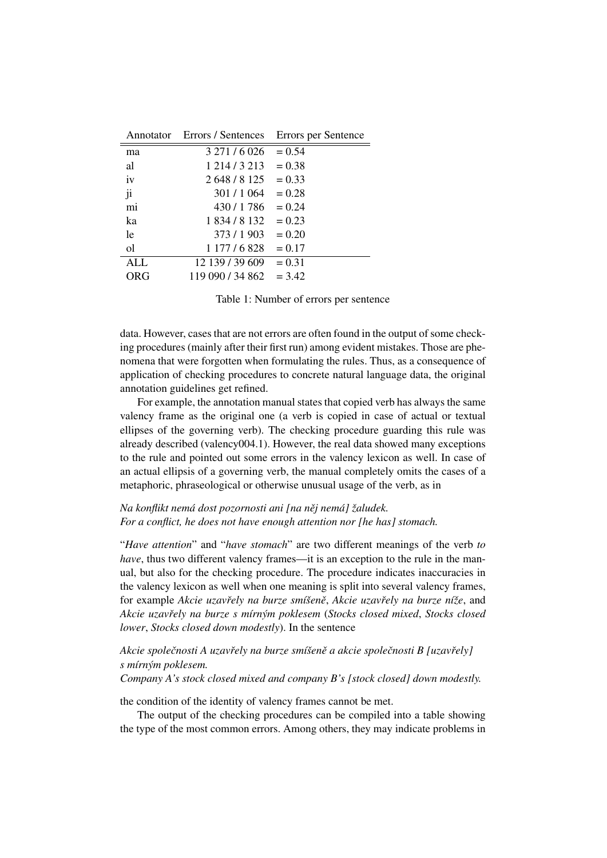|            |                   | Annotator Errors / Sentences Errors per Sentence |
|------------|-------------------|--------------------------------------------------|
| ma         | 3 271 / 6 0 26    | $= 0.54$                                         |
| al         | 1 2 1 4 / 3 2 1 3 | $= 0.38$                                         |
| iv         | 2 648 / 8 125     | $= 0.33$                                         |
| ji         | 301/1064          | $= 0.28$                                         |
| mi         | 430 / 1786        | $= 0.24$                                         |
| ka         | 1 834 / 8 132     | $= 0.23$                                         |
| le         | 373/1903          | $= 0.20$                                         |
| οl         | 1 177 / 6 828     | $= 0.17$                                         |
| <b>ALL</b> | 12 139 / 39 609   | $= 0.31$                                         |
| ORG        | 119 090 / 34 862  | $= 3.42$                                         |

<span id="page-8-0"></span>Table 1: Number of errors per sentence

data. However, cases that are not errors are often found in the output of some checking procedures (mainly after their first run) among evident mistakes. Those are phenomena that were forgotten when formulating the rules. Thus, as a consequence of application of checking procedures to concrete natural language data, the original annotation guidelines get refined.

For example, the annotation manual states that copied verb has always the same valency frame as the original one (a verb is copied in case of actual or textual ellipses of the governing verb). The checking procedure guarding this rule was already described (valency004.1). However, the real data showed many exceptions to the rule and pointed out some errors in the valency lexicon as well. In case of an actual ellipsis of a governing verb, the manual completely omits the cases of a metaphoric, phraseological or otherwise unusual usage of the verb, as in

### *Na konflikt nemá dost pozornosti ani [na nˇej nemá] žaludek. For a conflict, he does not have enough attention nor [he has] stomach.*

"*Have attention*" and "*have stomach*" are two different meanings of the verb *to have*, thus two different valency frames—it is an exception to the rule in the manual, but also for the checking procedure. The procedure indicates inaccuracies in the valency lexicon as well when one meaning is split into several valency frames, for example *Akcie uzavˇrely na burze smíšenˇe*, *Akcie uzavˇrely na burze níže*, and *Akcie uzavˇrely na burze s mírným poklesem* (*Stocks closed mixed*, *Stocks closed lower*, *Stocks closed down modestly*). In the sentence

*Akcie spoleˇcnosti A uzavˇrely na burze smíšenˇe a akcie spoleˇcnosti B [uzavˇrely] s mírným poklesem.*

*Company A's stock closed mixed and company B's [stock closed] down modestly.*

the condition of the identity of valency frames cannot be met.

The output of the checking procedures can be compiled into a table showing the type of the most common errors. Among others, they may indicate problems in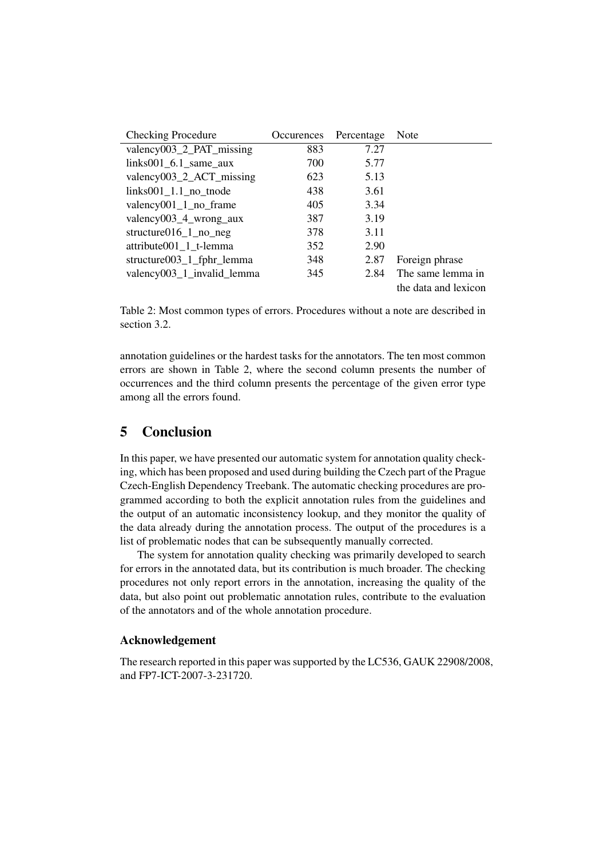| <b>Checking Procedure</b>   | <b>Occurences</b> | Percentage | Note                 |
|-----------------------------|-------------------|------------|----------------------|
| valency003_2_PAT_missing    | 883               | 7.27       |                      |
| $links001_6.1$ same_aux     | 700               | 5.77       |                      |
| valency003_2_ACT_missing    | 623               | 5.13       |                      |
| $links001_1.1$ no tnode     | 438               | 3.61       |                      |
| valency001_1_no_frame       | 405               | 3.34       |                      |
| valency003_4_wrong_aux      | 387               | 3.19       |                      |
| structure $016\_1\_no\_neg$ | 378               | 3.11       |                      |
| attribute001_1_t-lemma      | 352               | 2.90       |                      |
| structure003_1_fphr_lemma   | 348               | 2.87       | Foreign phrase       |
| valency003_1_invalid_lemma  | 345               | 2.84       | The same lemma in    |
|                             |                   |            | the data and lexicon |

<span id="page-9-0"></span>Table 2: Most common types of errors. Procedures without a note are described in section [3.2.](#page-3-0)

annotation guidelines or the hardest tasks for the annotators. The ten most common errors are shown in Table [2,](#page-9-0) where the second column presents the number of occurrences and the third column presents the percentage of the given error type among all the errors found.

# 5 Conclusion

In this paper, we have presented our automatic system for annotation quality checking, which has been proposed and used during building the Czech part of the Prague Czech-English Dependency Treebank. The automatic checking procedures are programmed according to both the explicit annotation rules from the guidelines and the output of an automatic inconsistency lookup, and they monitor the quality of the data already during the annotation process. The output of the procedures is a list of problematic nodes that can be subsequently manually corrected.

The system for annotation quality checking was primarily developed to search for errors in the annotated data, but its contribution is much broader. The checking procedures not only report errors in the annotation, increasing the quality of the data, but also point out problematic annotation rules, contribute to the evaluation of the annotators and of the whole annotation procedure.

#### Acknowledgement

The research reported in this paper was supported by the LC536, GAUK 22908/2008, and FP7-ICT-2007-3-231720.